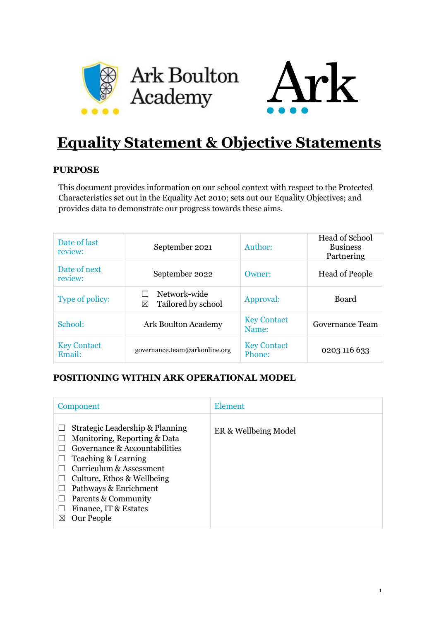



# **Equality Statement & Objective Statements**

## **PURPOSE**

This document provides information on our school context with respect to the Protected Characteristics set out in the Equality Act 2010; sets out our Equality Objectives; and provides data to demonstrate our progress towards these aims.

| Date of last<br>review:      | September 2021                          | Author:                      | <b>Head of School</b><br><b>Business</b><br>Partnering |
|------------------------------|-----------------------------------------|------------------------------|--------------------------------------------------------|
| Date of next<br>review:      | September 2022                          | Owner:                       | <b>Head of People</b>                                  |
| Type of policy:              | Network-wide<br>Tailored by school<br>⊠ | Approval:                    | Board                                                  |
| School:                      | Ark Boulton Academy                     | <b>Key Contact</b><br>Name:  | Governance Team                                        |
| <b>Key Contact</b><br>Email: | governance.team@arkonline.org           | <b>Key Contact</b><br>Phone: | 0203 116 633                                           |

## **POSITIONING WITHIN ARK OPERATIONAL MODEL**

| Component                                                                                                                                                                                                                                                                    | Element              |
|------------------------------------------------------------------------------------------------------------------------------------------------------------------------------------------------------------------------------------------------------------------------------|----------------------|
| Strategic Leadership & Planning<br>Monitoring, Reporting & Data<br>Governance & Accountabilities<br>Teaching & Learning<br>Curriculum & Assessment<br>Culture, Ethos & Wellbeing<br>Pathways & Enrichment<br>Parents & Community<br>Finance, IT & Estates<br>Our People<br>⋈ | ER & Wellbeing Model |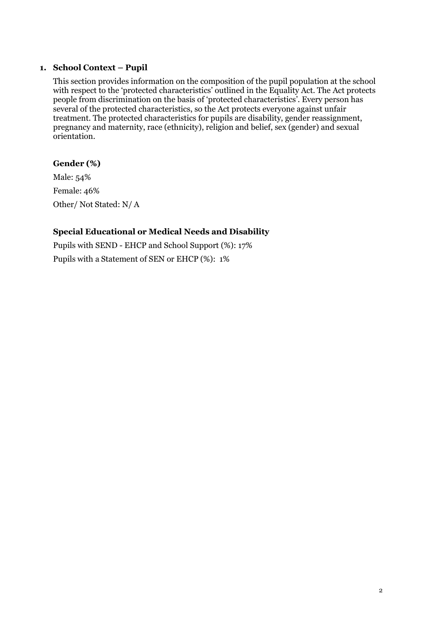## **1. School Context – Pupil**

This section provides information on the composition of the pupil population at the school with respect to the 'protected characteristics' outlined in the Equality Act. The Act protects people from discrimination on the basis of 'protected characteristics'. Every person has several of the protected characteristics, so the Act protects everyone against unfair treatment. The protected characteristics for pupils are disability, gender reassignment, pregnancy and maternity, race (ethnicity), religion and belief, sex (gender) and sexual orientation.

## **Gender (%)**

Male: 54% Female: 46% Other/ Not Stated: N/ A

## **Special Educational or Medical Needs and Disability**

Pupils with SEND - EHCP and School Support (%): 17% Pupils with a Statement of SEN or EHCP (%): 1%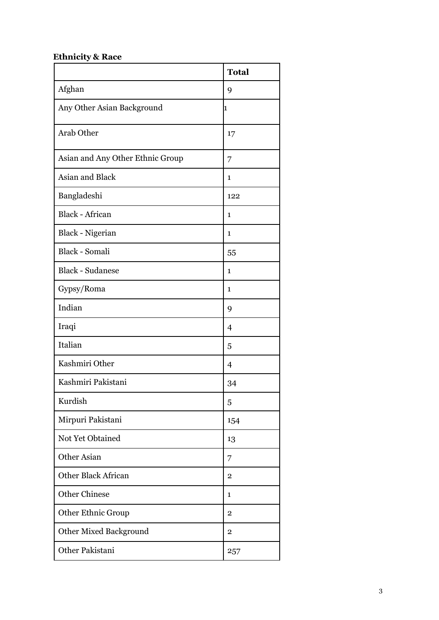## **Ethnicity & Race**

|                                  | <b>Total</b>   |
|----------------------------------|----------------|
| Afghan                           | 9              |
| Any Other Asian Background       | 1              |
| <b>Arab Other</b>                | 17             |
| Asian and Any Other Ethnic Group | 7              |
| Asian and Black                  | 1              |
| Bangladeshi                      | 122            |
| <b>Black - African</b>           | 1              |
| Black - Nigerian                 | $\mathbf{1}$   |
| Black - Somali                   | 55             |
| <b>Black - Sudanese</b>          | $\mathbf{1}$   |
| Gypsy/Roma                       | $\mathbf{1}$   |
| Indian                           | 9              |
| Iraqi                            | 4              |
| Italian                          | 5              |
| Kashmiri Other                   | 4              |
| Kashmiri Pakistani               | 34             |
| Kurdish                          | 5              |
| Mirpuri Pakistani                | 154            |
| Not Yet Obtained                 | 13             |
| <b>Other Asian</b>               | 7              |
| <b>Other Black African</b>       | $\overline{2}$ |
| <b>Other Chinese</b>             | 1              |
| <b>Other Ethnic Group</b>        | $\mathbf{2}$   |
| <b>Other Mixed Background</b>    | $\overline{2}$ |
| Other Pakistani                  | 257            |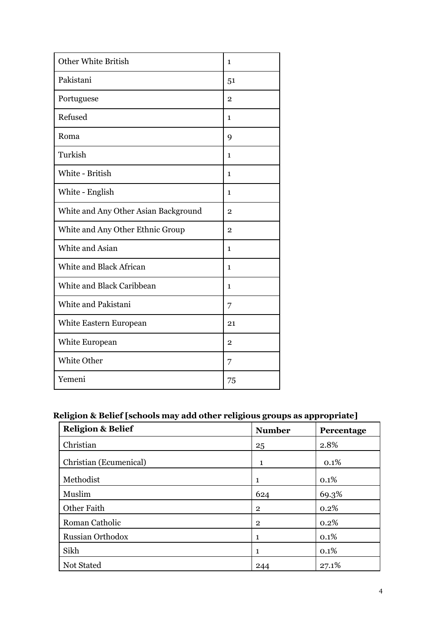| <b>Other White British</b>           | $\mathbf{1}$   |
|--------------------------------------|----------------|
| Pakistani                            | 51             |
| Portuguese                           | $\mathbf 2$    |
| Refused                              | $\mathbf{1}$   |
| Roma                                 | 9              |
| Turkish                              | 1              |
| White - British                      | $\mathbf{1}$   |
| White - English                      | 1              |
| White and Any Other Asian Background | $\mathbf 2$    |
| White and Any Other Ethnic Group     | $\overline{2}$ |
| White and Asian                      | $\mathbf{1}$   |
| White and Black African              | $\mathbf{1}$   |
| White and Black Caribbean            | $\mathbf 1$    |
| White and Pakistani                  | 7              |
| White Eastern European               | 21             |
| White European                       | $\overline{2}$ |
| <b>White Other</b>                   | 7              |
| Yemeni                               | 75             |

## **Religion & Belief [schools may add other religious groups as appropriate]**

| <b>Religion &amp; Belief</b> | <b>Number</b>  | Percentage |
|------------------------------|----------------|------------|
| Christian                    | 25             | 2.8%       |
| Christian (Ecumenical)       | 1              | 0.1%       |
| Methodist                    | $\mathbf{1}$   | 0.1%       |
| Muslim                       | 624            | 69.3%      |
| Other Faith                  | $\overline{2}$ | 0.2%       |
| Roman Catholic               | $\overline{2}$ | 0.2%       |
| <b>Russian Orthodox</b>      | 1              | 0.1%       |
| Sikh                         | 1              | 0.1%       |
| Not Stated                   | 244            | 27.1%      |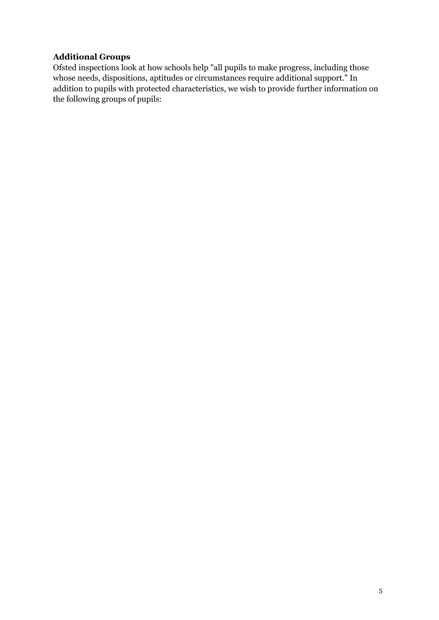## **Additional Groups**

Ofsted inspections look at how schools help "all pupils to make progress, including those whose needs, dispositions, aptitudes or circumstances require additional support." In addition to pupils with protected characteristics, we wish to provide further information on the following groups of pupils: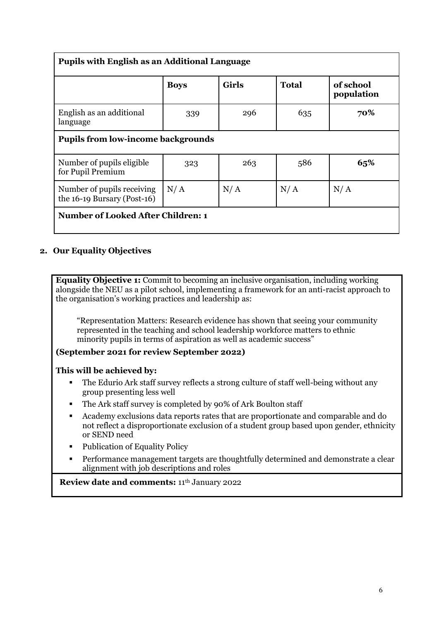| <b>Pupils with English as an Additional Language</b>      |             |              |              |                         |  |  |
|-----------------------------------------------------------|-------------|--------------|--------------|-------------------------|--|--|
|                                                           | <b>Boys</b> | <b>Girls</b> | <b>Total</b> | of school<br>population |  |  |
| English as an additional<br>language                      | 339         | 296          | 635          | 70%                     |  |  |
| <b>Pupils from low-income backgrounds</b>                 |             |              |              |                         |  |  |
| Number of pupils eligible<br>for Pupil Premium            | 323         | 263          | 586          | 65%                     |  |  |
| Number of pupils receiving<br>the 16-19 Bursary (Post-16) | N/A         | N/A          | N/A          | N/A                     |  |  |
| <b>Number of Looked After Children: 1</b>                 |             |              |              |                         |  |  |

## **2. Our Equality Objectives**

**Equality Objective 1:** Commit to becoming an inclusive organisation, including working alongside the NEU as a pilot school, implementing a framework for an anti-racist approach to the organisation's working practices and leadership as:

"Representation Matters: Research evidence has shown that seeing your community represented in the teaching and school leadership workforce matters to ethnic minority pupils in terms of aspiration as well as academic success"

**(September 2021 for review September 2022)**

### **This will be achieved by:**

- The Edurio Ark staff survey reflects a strong culture of staff well-being without any group presenting less well
- The Ark staff survey is completed by 90% of Ark Boulton staff
- Academy exclusions data reports rates that are proportionate and comparable and do not reflect a disproportionate exclusion of a student group based upon gender, ethnicity or SEND need
- Publication of Equality Policy
- Performance management targets are thoughtfully determined and demonstrate a clear alignment with job descriptions and roles

## **Review date and comments:** 11th January 2022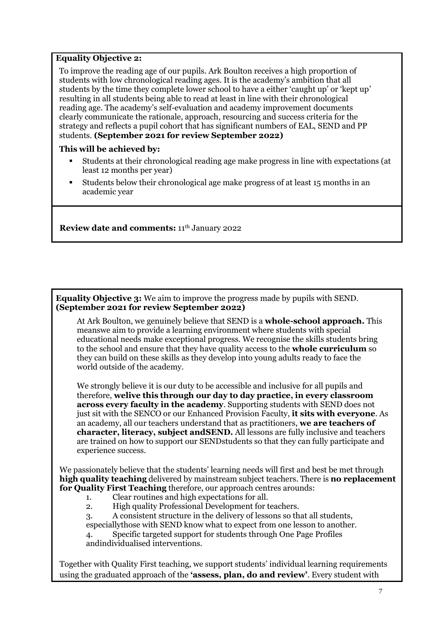#### **Equality Objective 2:**

To improve the reading age of our pupils. Ark Boulton receives a high proportion of students with low chronological reading ages. It is the academy's ambition that all students by the time they complete lower school to have a either 'caught up' or 'kept up' resulting in all students being able to read at least in line with their chronological reading age. The academy's self-evaluation and academy improvement documents clearly communicate the rationale, approach, resourcing and success criteria for the strategy and reflects a pupil cohort that has significant numbers of EAL, SEND and PP students. **(September 2021 for review September 2022)**

#### **This will be achieved by:**

- Students at their chronological reading age make progress in line with expectations (at least 12 months per year)
- Students below their chronological age make progress of at least 15 months in an academic year

**Review date and comments:** 11th January 2022

**Equality Objective 3:** We aim to improve the progress made by pupils with SEND. **(September 2021 for review September 2022)**

At Ark Boulton, we genuinely believe that SEND is a **whole-school approach.** This meanswe aim to provide a learning environment where students with special educational needs make exceptional progress. We recognise the skills students bring to the school and ensure that they have quality access to the **whole curriculum** so they can build on these skills as they develop into young adults ready to face the world outside of the academy.

We strongly believe it is our duty to be accessible and inclusive for all pupils and therefore, **welive this through our day to day practice, in every classroom across every faculty in the academy**. Supporting students with SEND does not just sit with the SENCO or our Enhanced Provision Faculty, **it sits with everyone**. As an academy, all our teachers understand that as practitioners, **we are teachers of character, literacy, subject andSEND.** All lessons are fully inclusive and teachers are trained on how to support our SENDstudents so that they can fully participate and experience success.

We passionately believe that the students' learning needs will first and best be met through **high quality teaching** delivered by mainstream subject teachers. There is **no replacement for Quality First Teaching** therefore, our approach centres arounds:

1. Clear routines and high expectations for all.

2. High quality Professional Development for teachers.

3. A consistent structure in the delivery of lessons so that all students,

especiallythose with SEND know what to expect from one lesson to another.

4. Specific targeted support for students through One Page Profiles andindividualised interventions.

Together with Quality First teaching, we support students' individual learning requirements using the graduated approach of the **'assess, plan, do and review'**. Every student with